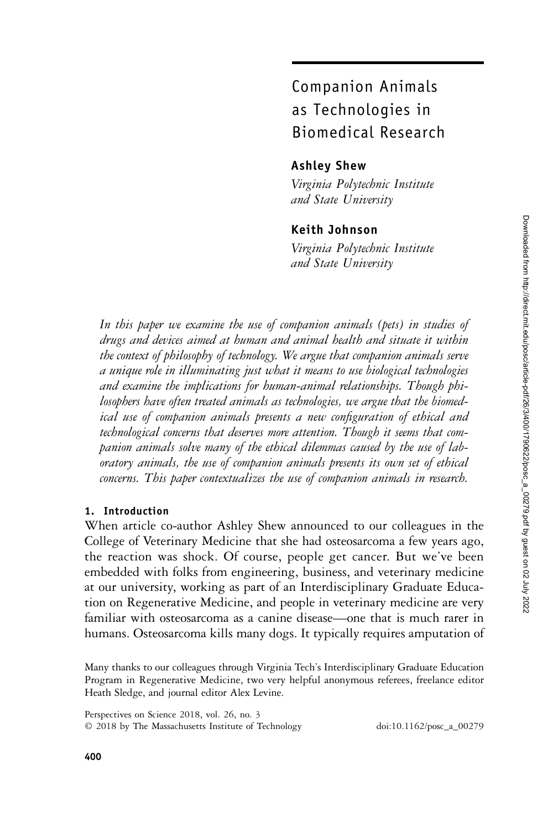# Companion Animals as Technologies in Biomedical Research

# Ashley Shew

Virginia Polytechnic Institute and State University

# Keith Johnson

Virginia Polytechnic Institute and State University

In this paper we examine the use of companion animals (pets) in studies of drugs and devices aimed at human and animal health and situate it within the context of philosophy of technology. We argue that companion animals serve a unique role in illuminating just what it means to use biological technologies and examine the implications for human-animal relationships. Though philosophers have often treated animals as technologies, we argue that the biomedical use of companion animals presents a new configuration of ethical and technological concerns that deserves more attention. Though it seems that companion animals solve many of the ethical dilemmas caused by the use of laboratory animals, the use of companion animals presents its own set of ethical concerns. This paper contextualizes the use of companion animals in research.

# 1. Introduction

When article co-author Ashley Shew announced to our colleagues in the College of Veterinary Medicine that she had osteosarcoma a few years ago, the reaction was shock. Of course, people get cancer. But we've been embedded with folks from engineering, business, and veterinary medicine at our university, working as part of an Interdisciplinary Graduate Education on Regenerative Medicine, and people in veterinary medicine are very familiar with osteosarcoma as a canine disease—one that is much rarer in humans. Osteosarcoma kills many dogs. It typically requires amputation of

Many thanks to our colleagues through Virginia Tech's Interdisciplinary Graduate Education Program in Regenerative Medicine, two very helpful anonymous referees, freelance editor Heath Sledge, and journal editor Alex Levine.

Perspectives on Science 2018, vol. 26, no. 3 © 2018 by The Massachusetts Institute of Technology doi:10.1162/posc\_a\_00279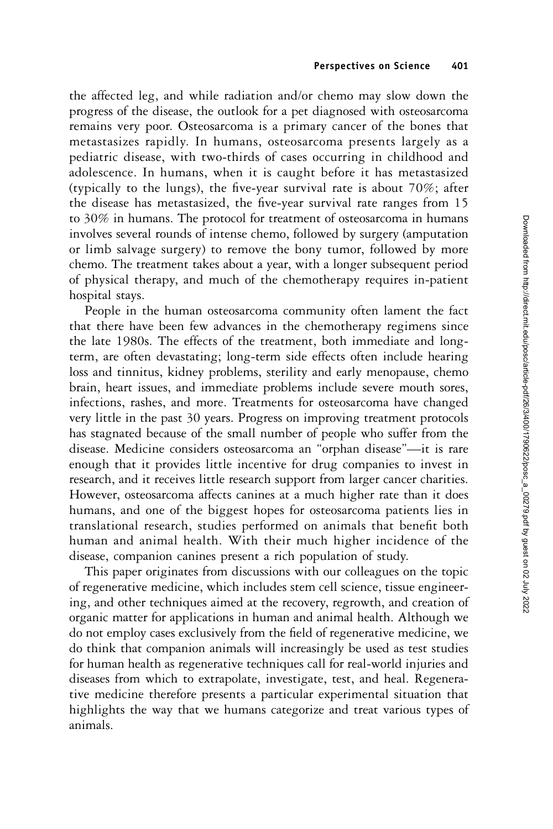the affected leg, and while radiation and/or chemo may slow down the progress of the disease, the outlook for a pet diagnosed with osteosarcoma remains very poor. Osteosarcoma is a primary cancer of the bones that metastasizes rapidly. In humans, osteosarcoma presents largely as a pediatric disease, with two-thirds of cases occurring in childhood and adolescence. In humans, when it is caught before it has metastasized (typically to the lungs), the five-year survival rate is about 70%; after the disease has metastasized, the five-year survival rate ranges from 15 to 30% in humans. The protocol for treatment of osteosarcoma in humans involves several rounds of intense chemo, followed by surgery (amputation or limb salvage surgery) to remove the bony tumor, followed by more chemo. The treatment takes about a year, with a longer subsequent period of physical therapy, and much of the chemotherapy requires in-patient hospital stays.

People in the human osteosarcoma community often lament the fact that there have been few advances in the chemotherapy regimens since the late 1980s. The effects of the treatment, both immediate and longterm, are often devastating; long-term side effects often include hearing loss and tinnitus, kidney problems, sterility and early menopause, chemo brain, heart issues, and immediate problems include severe mouth sores, infections, rashes, and more. Treatments for osteosarcoma have changed very little in the past 30 years. Progress on improving treatment protocols has stagnated because of the small number of people who suffer from the disease. Medicine considers osteosarcoma an "orphan disease"—it is rare enough that it provides little incentive for drug companies to invest in research, and it receives little research support from larger cancer charities. However, osteosarcoma affects canines at a much higher rate than it does humans, and one of the biggest hopes for osteosarcoma patients lies in translational research, studies performed on animals that benefit both human and animal health. With their much higher incidence of the disease, companion canines present a rich population of study.

This paper originates from discussions with our colleagues on the topic of regenerative medicine, which includes stem cell science, tissue engineering, and other techniques aimed at the recovery, regrowth, and creation of organic matter for applications in human and animal health. Although we do not employ cases exclusively from the field of regenerative medicine, we do think that companion animals will increasingly be used as test studies for human health as regenerative techniques call for real-world injuries and diseases from which to extrapolate, investigate, test, and heal. Regenerative medicine therefore presents a particular experimental situation that highlights the way that we humans categorize and treat various types of animals.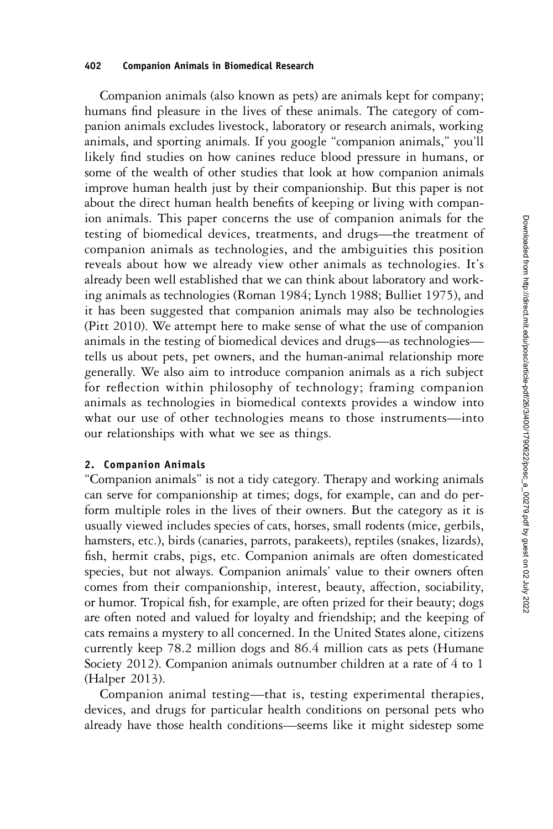Companion animals (also known as pets) are animals kept for company; humans find pleasure in the lives of these animals. The category of companion animals excludes livestock, laboratory or research animals, working animals, and sporting animals. If you google "companion animals," you'll likely find studies on how canines reduce blood pressure in humans, or some of the wealth of other studies that look at how companion animals improve human health just by their companionship. But this paper is not about the direct human health benefits of keeping or living with companion animals. This paper concerns the use of companion animals for the testing of biomedical devices, treatments, and drugs—the treatment of companion animals as technologies, and the ambiguities this position reveals about how we already view other animals as technologies. It's already been well established that we can think about laboratory and working animals as technologies (Roman 1984; Lynch 1988; Bulliet 1975), and it has been suggested that companion animals may also be technologies (Pitt 2010). We attempt here to make sense of what the use of companion animals in the testing of biomedical devices and drugs—as technologies tells us about pets, pet owners, and the human-animal relationship more generally. We also aim to introduce companion animals as a rich subject for reflection within philosophy of technology; framing companion animals as technologies in biomedical contexts provides a window into what our use of other technologies means to those instruments—into our relationships with what we see as things.

## 2. Companion Animals

"Companion animals" is not a tidy category. Therapy and working animals can serve for companionship at times; dogs, for example, can and do perform multiple roles in the lives of their owners. But the category as it is usually viewed includes species of cats, horses, small rodents (mice, gerbils, hamsters, etc.), birds (canaries, parrots, parakeets), reptiles (snakes, lizards), fish, hermit crabs, pigs, etc. Companion animals are often domesticated species, but not always. Companion animals' value to their owners often comes from their companionship, interest, beauty, affection, sociability, or humor. Tropical fish, for example, are often prized for their beauty; dogs are often noted and valued for loyalty and friendship; and the keeping of cats remains a mystery to all concerned. In the United States alone, citizens currently keep 78.2 million dogs and 86.4 million cats as pets (Humane Society 2012). Companion animals outnumber children at a rate of 4 to 1 (Halper 2013).

Companion animal testing—that is, testing experimental therapies, devices, and drugs for particular health conditions on personal pets who already have those health conditions—seems like it might sidestep some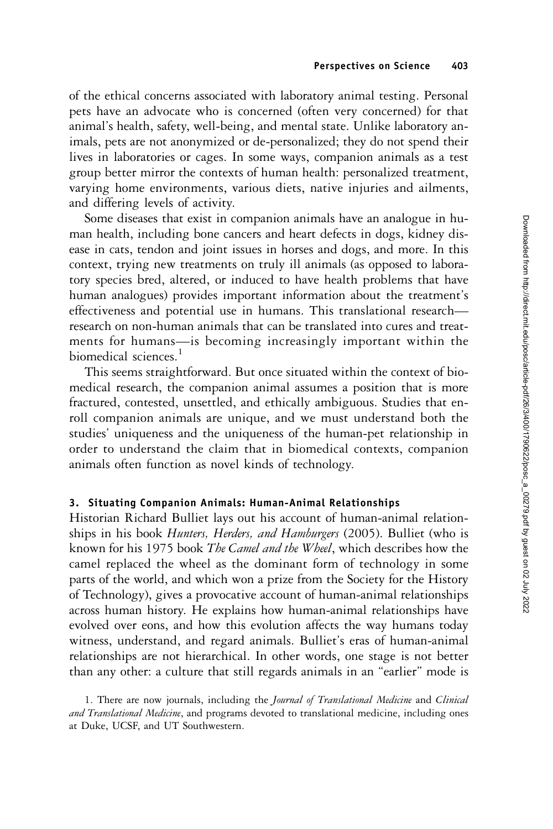of the ethical concerns associated with laboratory animal testing. Personal pets have an advocate who is concerned (often very concerned) for that animal's health, safety, well-being, and mental state. Unlike laboratory animals, pets are not anonymized or de-personalized; they do not spend their lives in laboratories or cages. In some ways, companion animals as a test group better mirror the contexts of human health: personalized treatment, varying home environments, various diets, native injuries and ailments, and differing levels of activity.

Some diseases that exist in companion animals have an analogue in human health, including bone cancers and heart defects in dogs, kidney disease in cats, tendon and joint issues in horses and dogs, and more. In this context, trying new treatments on truly ill animals (as opposed to laboratory species bred, altered, or induced to have health problems that have human analogues) provides important information about the treatment's effectiveness and potential use in humans. This translational research research on non-human animals that can be translated into cures and treatments for humans—is becoming increasingly important within the biomedical sciences.<sup>1</sup>

This seems straightforward. But once situated within the context of biomedical research, the companion animal assumes a position that is more fractured, contested, unsettled, and ethically ambiguous. Studies that enroll companion animals are unique, and we must understand both the studies' uniqueness and the uniqueness of the human-pet relationship in order to understand the claim that in biomedical contexts, companion animals often function as novel kinds of technology.

## 3. Situating Companion Animals: Human-Animal Relationships

Historian Richard Bulliet lays out his account of human-animal relationships in his book Hunters, Herders, and Hamburgers (2005). Bulliet (who is known for his 1975 book The Camel and the Wheel, which describes how the camel replaced the wheel as the dominant form of technology in some parts of the world, and which won a prize from the Society for the History of Technology), gives a provocative account of human-animal relationships across human history. He explains how human-animal relationships have evolved over eons, and how this evolution affects the way humans today witness, understand, and regard animals. Bulliet's eras of human-animal relationships are not hierarchical. In other words, one stage is not better than any other: a culture that still regards animals in an "earlier" mode is

<sup>1.</sup> There are now journals, including the Journal of Translational Medicine and Clinical and Translational Medicine, and programs devoted to translational medicine, including ones at Duke, UCSF, and UT Southwestern.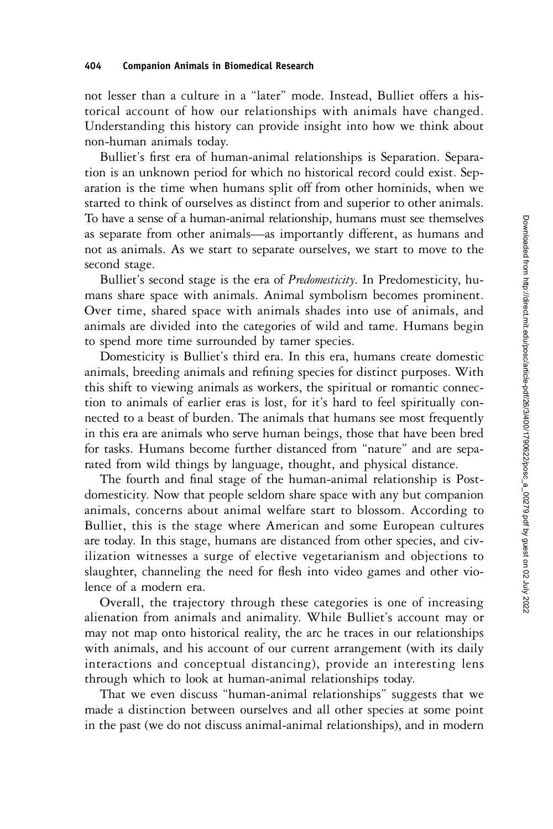not lesser than a culture in a "later" mode. Instead, Bulliet offers a historical account of how our relationships with animals have changed. Understanding this history can provide insight into how we think about non-human animals today.

Bulliet's first era of human-animal relationships is Separation. Separation is an unknown period for which no historical record could exist. Separation is the time when humans split off from other hominids, when we started to think of ourselves as distinct from and superior to other animals. To have a sense of a human-animal relationship, humans must see themselves as separate from other animals—as importantly different, as humans and not as animals. As we start to separate ourselves, we start to move to the second stage.

Bulliet's second stage is the era of *Predomesticity*. In Predomesticity, humans share space with animals. Animal symbolism becomes prominent. Over time, shared space with animals shades into use of animals, and animals are divided into the categories of wild and tame. Humans begin to spend more time surrounded by tamer species.

Domesticity is Bulliet's third era. In this era, humans create domestic animals, breeding animals and refining species for distinct purposes. With this shift to viewing animals as workers, the spiritual or romantic connection to animals of earlier eras is lost, for it's hard to feel spiritually connected to a beast of burden. The animals that humans see most frequently in this era are animals who serve human beings, those that have been bred for tasks. Humans become further distanced from "nature" and are separated from wild things by language, thought, and physical distance.

The fourth and final stage of the human-animal relationship is Postdomesticity. Now that people seldom share space with any but companion animals, concerns about animal welfare start to blossom. According to Bulliet, this is the stage where American and some European cultures are today. In this stage, humans are distanced from other species, and civilization witnesses a surge of elective vegetarianism and objections to slaughter, channeling the need for flesh into video games and other violence of a modern era.

Overall, the trajectory through these categories is one of increasing alienation from animals and animality. While Bulliet's account may or may not map onto historical reality, the arc he traces in our relationships with animals, and his account of our current arrangement (with its daily interactions and conceptual distancing), provide an interesting lens through which to look at human-animal relationships today.

That we even discuss "human-animal relationships" suggests that we made a distinction between ourselves and all other species at some point in the past (we do not discuss animal-animal relationships), and in modern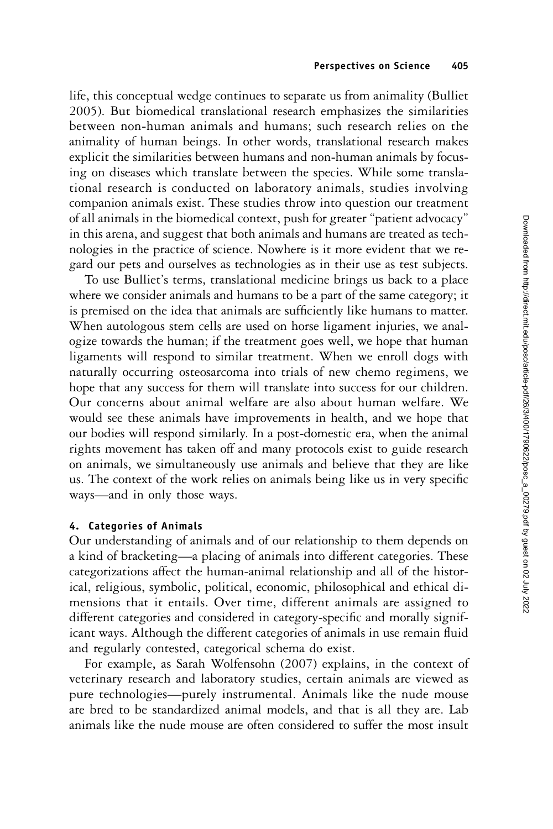life, this conceptual wedge continues to separate us from animality (Bulliet 2005). But biomedical translational research emphasizes the similarities between non-human animals and humans; such research relies on the animality of human beings. In other words, translational research makes explicit the similarities between humans and non-human animals by focusing on diseases which translate between the species. While some translational research is conducted on laboratory animals, studies involving companion animals exist. These studies throw into question our treatment of all animals in the biomedical context, push for greater "patient advocacy" in this arena, and suggest that both animals and humans are treated as technologies in the practice of science. Nowhere is it more evident that we regard our pets and ourselves as technologies as in their use as test subjects.

To use Bulliet's terms, translational medicine brings us back to a place where we consider animals and humans to be a part of the same category; it is premised on the idea that animals are sufficiently like humans to matter. When autologous stem cells are used on horse ligament injuries, we analogize towards the human; if the treatment goes well, we hope that human ligaments will respond to similar treatment. When we enroll dogs with naturally occurring osteosarcoma into trials of new chemo regimens, we hope that any success for them will translate into success for our children. Our concerns about animal welfare are also about human welfare. We would see these animals have improvements in health, and we hope that our bodies will respond similarly. In a post-domestic era, when the animal rights movement has taken off and many protocols exist to guide research on animals, we simultaneously use animals and believe that they are like us. The context of the work relies on animals being like us in very specific ways—and in only those ways.

# 4. Categories of Animals

Our understanding of animals and of our relationship to them depends on a kind of bracketing—a placing of animals into different categories. These categorizations affect the human-animal relationship and all of the historical, religious, symbolic, political, economic, philosophical and ethical dimensions that it entails. Over time, different animals are assigned to different categories and considered in category-specific and morally significant ways. Although the different categories of animals in use remain fluid and regularly contested, categorical schema do exist.

For example, as Sarah Wolfensohn (2007) explains, in the context of veterinary research and laboratory studies, certain animals are viewed as pure technologies—purely instrumental. Animals like the nude mouse are bred to be standardized animal models, and that is all they are. Lab animals like the nude mouse are often considered to suffer the most insult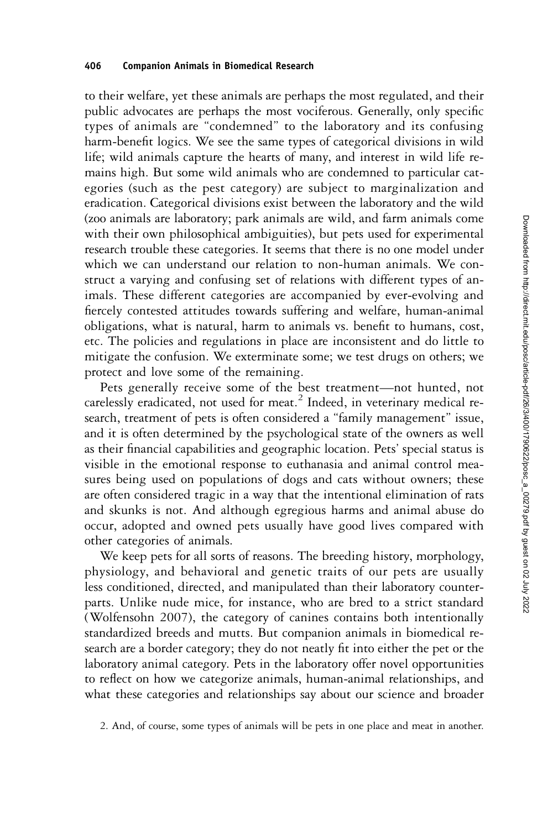to their welfare, yet these animals are perhaps the most regulated, and their public advocates are perhaps the most vociferous. Generally, only specific types of animals are "condemned" to the laboratory and its confusing harm-benefit logics. We see the same types of categorical divisions in wild life; wild animals capture the hearts of many, and interest in wild life remains high. But some wild animals who are condemned to particular categories (such as the pest category) are subject to marginalization and eradication. Categorical divisions exist between the laboratory and the wild (zoo animals are laboratory; park animals are wild, and farm animals come with their own philosophical ambiguities), but pets used for experimental research trouble these categories. It seems that there is no one model under which we can understand our relation to non-human animals. We construct a varying and confusing set of relations with different types of animals. These different categories are accompanied by ever-evolving and fiercely contested attitudes towards suffering and welfare, human-animal obligations, what is natural, harm to animals vs. benefit to humans, cost, etc. The policies and regulations in place are inconsistent and do little to mitigate the confusion. We exterminate some; we test drugs on others; we protect and love some of the remaining.

Pets generally receive some of the best treatment—not hunted, not carelessly eradicated, not used for meat.<sup>2</sup> Indeed, in veterinary medical research, treatment of pets is often considered a "family management" issue, and it is often determined by the psychological state of the owners as well as their financial capabilities and geographic location. Pets' special status is visible in the emotional response to euthanasia and animal control measures being used on populations of dogs and cats without owners; these are often considered tragic in a way that the intentional elimination of rats and skunks is not. And although egregious harms and animal abuse do occur, adopted and owned pets usually have good lives compared with other categories of animals.

We keep pets for all sorts of reasons. The breeding history, morphology, physiology, and behavioral and genetic traits of our pets are usually less conditioned, directed, and manipulated than their laboratory counterparts. Unlike nude mice, for instance, who are bred to a strict standard (Wolfensohn 2007), the category of canines contains both intentionally standardized breeds and mutts. But companion animals in biomedical research are a border category; they do not neatly fit into either the pet or the laboratory animal category. Pets in the laboratory offer novel opportunities to reflect on how we categorize animals, human-animal relationships, and what these categories and relationships say about our science and broader

2. And, of course, some types of animals will be pets in one place and meat in another.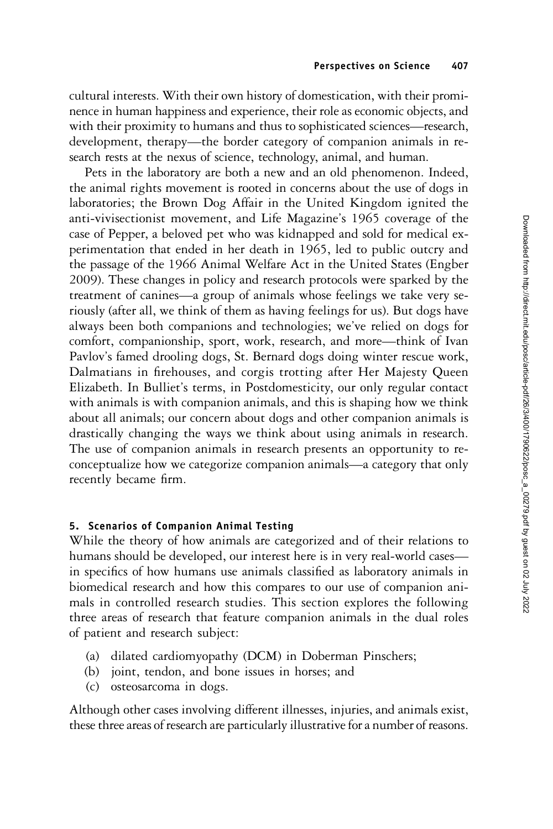cultural interests. With their own history of domestication, with their prominence in human happiness and experience, their role as economic objects, and with their proximity to humans and thus to sophisticated sciences—research, development, therapy—the border category of companion animals in research rests at the nexus of science, technology, animal, and human.

Pets in the laboratory are both a new and an old phenomenon. Indeed, the animal rights movement is rooted in concerns about the use of dogs in laboratories; the Brown Dog Affair in the United Kingdom ignited the anti-vivisectionist movement, and Life Magazine's 1965 coverage of the case of Pepper, a beloved pet who was kidnapped and sold for medical experimentation that ended in her death in 1965, led to public outcry and the passage of the 1966 Animal Welfare Act in the United States (Engber 2009). These changes in policy and research protocols were sparked by the treatment of canines—a group of animals whose feelings we take very seriously (after all, we think of them as having feelings for us). But dogs have always been both companions and technologies; we've relied on dogs for comfort, companionship, sport, work, research, and more—think of Ivan Pavlov's famed drooling dogs, St. Bernard dogs doing winter rescue work, Dalmatians in firehouses, and corgis trotting after Her Majesty Queen Elizabeth. In Bulliet's terms, in Postdomesticity, our only regular contact with animals is with companion animals, and this is shaping how we think about all animals; our concern about dogs and other companion animals is drastically changing the ways we think about using animals in research. The use of companion animals in research presents an opportunity to reconceptualize how we categorize companion animals—a category that only recently became firm.

# 5. Scenarios of Companion Animal Testing

While the theory of how animals are categorized and of their relations to humans should be developed, our interest here is in very real-world cases in specifics of how humans use animals classified as laboratory animals in biomedical research and how this compares to our use of companion animals in controlled research studies. This section explores the following three areas of research that feature companion animals in the dual roles of patient and research subject:

- (a) dilated cardiomyopathy (DCM) in Doberman Pinschers;
- (b) joint, tendon, and bone issues in horses; and
- (c) osteosarcoma in dogs.

Although other cases involving different illnesses, injuries, and animals exist, these three areas of research are particularly illustrative for a number of reasons.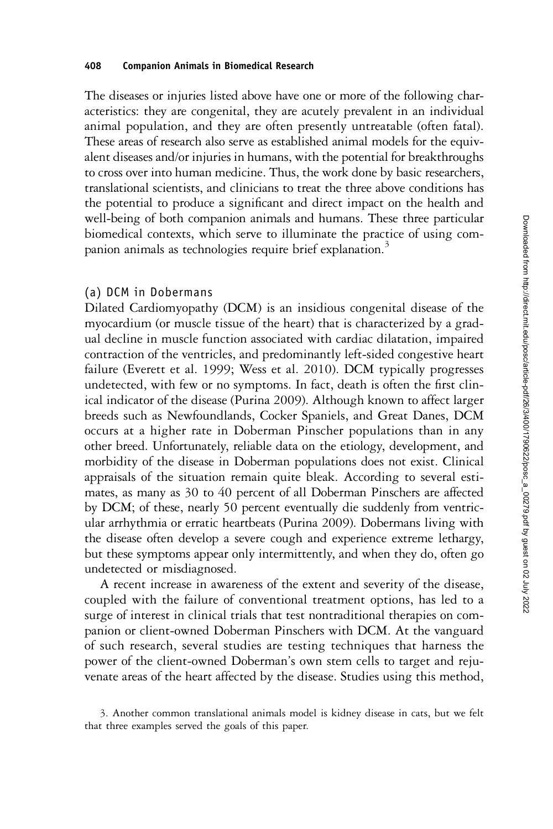The diseases or injuries listed above have one or more of the following characteristics: they are congenital, they are acutely prevalent in an individual animal population, and they are often presently untreatable (often fatal). These areas of research also serve as established animal models for the equivalent diseases and/or injuries in humans, with the potential for breakthroughs to cross over into human medicine. Thus, the work done by basic researchers, translational scientists, and clinicians to treat the three above conditions has the potential to produce a significant and direct impact on the health and well-being of both companion animals and humans. These three particular biomedical contexts, which serve to illuminate the practice of using companion animals as technologies require brief explanation.<sup>3</sup>

## (a) DCM in Dobermans

Dilated Cardiomyopathy (DCM) is an insidious congenital disease of the myocardium (or muscle tissue of the heart) that is characterized by a gradual decline in muscle function associated with cardiac dilatation, impaired contraction of the ventricles, and predominantly left-sided congestive heart failure (Everett et al. 1999; Wess et al. 2010). DCM typically progresses undetected, with few or no symptoms. In fact, death is often the first clinical indicator of the disease (Purina 2009). Although known to affect larger breeds such as Newfoundlands, Cocker Spaniels, and Great Danes, DCM occurs at a higher rate in Doberman Pinscher populations than in any other breed. Unfortunately, reliable data on the etiology, development, and morbidity of the disease in Doberman populations does not exist. Clinical appraisals of the situation remain quite bleak. According to several estimates, as many as 30 to 40 percent of all Doberman Pinschers are affected by DCM; of these, nearly 50 percent eventually die suddenly from ventricular arrhythmia or erratic heartbeats (Purina 2009). Dobermans living with the disease often develop a severe cough and experience extreme lethargy, but these symptoms appear only intermittently, and when they do, often go undetected or misdiagnosed.

A recent increase in awareness of the extent and severity of the disease, coupled with the failure of conventional treatment options, has led to a surge of interest in clinical trials that test nontraditional therapies on companion or client-owned Doberman Pinschers with DCM. At the vanguard of such research, several studies are testing techniques that harness the power of the client-owned Doberman's own stem cells to target and rejuvenate areas of the heart affected by the disease. Studies using this method,

3. Another common translational animals model is kidney disease in cats, but we felt that three examples served the goals of this paper.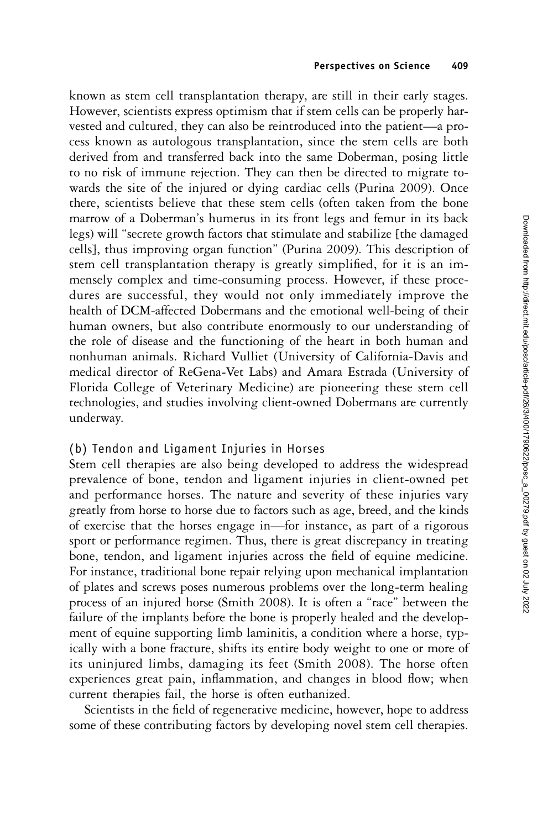known as stem cell transplantation therapy, are still in their early stages. However, scientists express optimism that if stem cells can be properly harvested and cultured, they can also be reintroduced into the patient—a process known as autologous transplantation, since the stem cells are both derived from and transferred back into the same Doberman, posing little to no risk of immune rejection. They can then be directed to migrate towards the site of the injured or dying cardiac cells (Purina 2009). Once there, scientists believe that these stem cells (often taken from the bone marrow of a Doberman's humerus in its front legs and femur in its back legs) will "secrete growth factors that stimulate and stabilize [the damaged cells], thus improving organ function" (Purina 2009). This description of stem cell transplantation therapy is greatly simplified, for it is an immensely complex and time-consuming process. However, if these procedures are successful, they would not only immediately improve the health of DCM-affected Dobermans and the emotional well-being of their human owners, but also contribute enormously to our understanding of the role of disease and the functioning of the heart in both human and nonhuman animals. Richard Vulliet (University of California-Davis and medical director of ReGena-Vet Labs) and Amara Estrada (University of Florida College of Veterinary Medicine) are pioneering these stem cell technologies, and studies involving client-owned Dobermans are currently underway.

# (b) Tendon and Ligament Injuries in Horses

Stem cell therapies are also being developed to address the widespread prevalence of bone, tendon and ligament injuries in client-owned pet and performance horses. The nature and severity of these injuries vary greatly from horse to horse due to factors such as age, breed, and the kinds of exercise that the horses engage in—for instance, as part of a rigorous sport or performance regimen. Thus, there is great discrepancy in treating bone, tendon, and ligament injuries across the field of equine medicine. For instance, traditional bone repair relying upon mechanical implantation of plates and screws poses numerous problems over the long-term healing process of an injured horse (Smith 2008). It is often a "race" between the failure of the implants before the bone is properly healed and the development of equine supporting limb laminitis, a condition where a horse, typically with a bone fracture, shifts its entire body weight to one or more of its uninjured limbs, damaging its feet (Smith 2008). The horse often experiences great pain, inflammation, and changes in blood flow; when current therapies fail, the horse is often euthanized.

Scientists in the field of regenerative medicine, however, hope to address some of these contributing factors by developing novel stem cell therapies.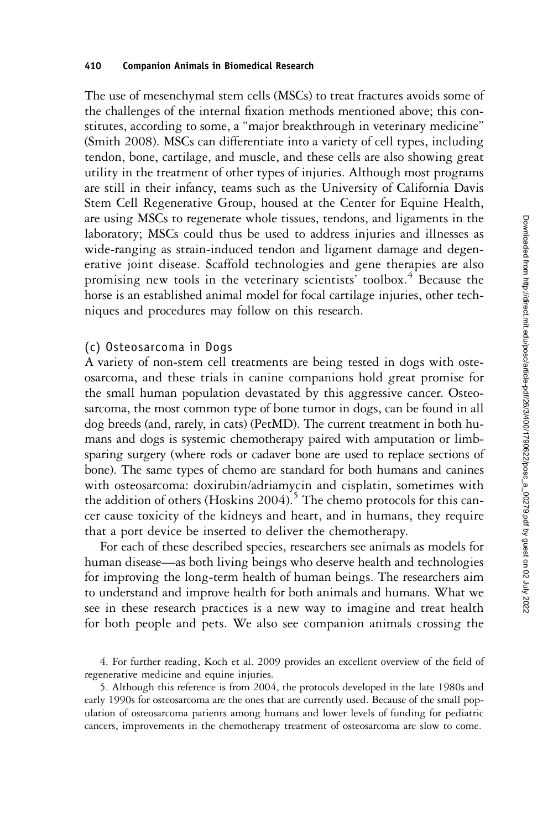The use of mesenchymal stem cells (MSCs) to treat fractures avoids some of the challenges of the internal fixation methods mentioned above; this constitutes, according to some, a "major breakthrough in veterinary medicine" (Smith 2008). MSCs can differentiate into a variety of cell types, including tendon, bone, cartilage, and muscle, and these cells are also showing great utility in the treatment of other types of injuries. Although most programs are still in their infancy, teams such as the University of California Davis Stem Cell Regenerative Group, housed at the Center for Equine Health, are using MSCs to regenerate whole tissues, tendons, and ligaments in the laboratory; MSCs could thus be used to address injuries and illnesses as wide-ranging as strain-induced tendon and ligament damage and degenerative joint disease. Scaffold technologies and gene therapies are also promising new tools in the veterinary scientists' toolbox.<sup>4</sup> Because the horse is an established animal model for focal cartilage injuries, other techniques and procedures may follow on this research.

# (c) Osteosarcoma in Dogs

A variety of non-stem cell treatments are being tested in dogs with osteosarcoma, and these trials in canine companions hold great promise for the small human population devastated by this aggressive cancer. Osteosarcoma, the most common type of bone tumor in dogs, can be found in all dog breeds (and, rarely, in cats) (PetMD). The current treatment in both humans and dogs is systemic chemotherapy paired with amputation or limbsparing surgery (where rods or cadaver bone are used to replace sections of bone). The same types of chemo are standard for both humans and canines with osteosarcoma: doxirubin/adriamycin and cisplatin, sometimes with the addition of others (Hoskins 2004).<sup>5</sup> The chemo protocols for this cancer cause toxicity of the kidneys and heart, and in humans, they require that a port device be inserted to deliver the chemotherapy.

For each of these described species, researchers see animals as models for human disease—as both living beings who deserve health and technologies for improving the long-term health of human beings. The researchers aim to understand and improve health for both animals and humans. What we see in these research practices is a new way to imagine and treat health for both people and pets. We also see companion animals crossing the

4. For further reading, Koch et al. 2009 provides an excellent overview of the field of regenerative medicine and equine injuries.

5. Although this reference is from 2004, the protocols developed in the late 1980s and early 1990s for osteosarcoma are the ones that are currently used. Because of the small population of osteosarcoma patients among humans and lower levels of funding for pediatric cancers, improvements in the chemotherapy treatment of osteosarcoma are slow to come.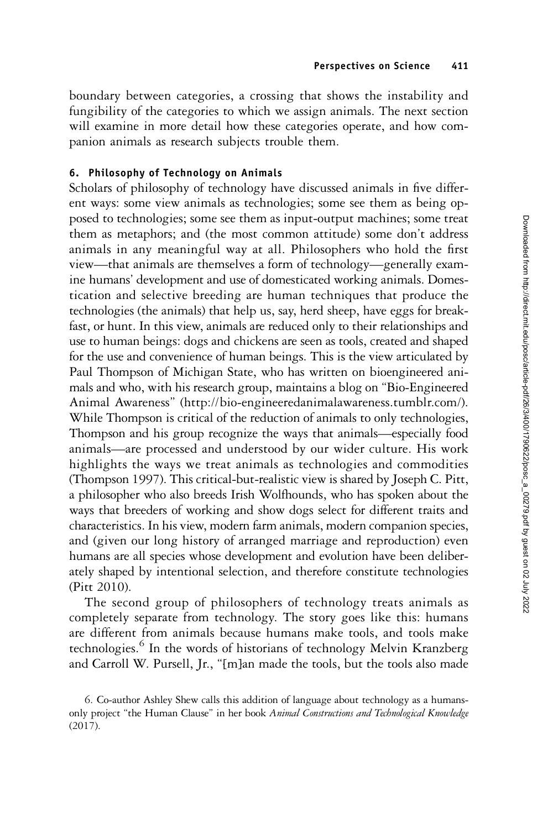boundary between categories, a crossing that shows the instability and fungibility of the categories to which we assign animals. The next section will examine in more detail how these categories operate, and how companion animals as research subjects trouble them.

# 6. Philosophy of Technology on Animals

Scholars of philosophy of technology have discussed animals in five different ways: some view animals as technologies; some see them as being opposed to technologies; some see them as input-output machines; some treat them as metaphors; and (the most common attitude) some don't address animals in any meaningful way at all. Philosophers who hold the first view—that animals are themselves a form of technology—generally examine humans' development and use of domesticated working animals. Domestication and selective breeding are human techniques that produce the technologies (the animals) that help us, say, herd sheep, have eggs for breakfast, or hunt. In this view, animals are reduced only to their relationships and use to human beings: dogs and chickens are seen as tools, created and shaped for the use and convenience of human beings. This is the view articulated by Paul Thompson of Michigan State, who has written on bioengineered animals and who, with his research group, maintains a blog on "Bio-Engineered Animal Awareness" (http://bio-engineeredanimalawareness.tumblr.com/). While Thompson is critical of the reduction of animals to only technologies, Thompson and his group recognize the ways that animals—especially food animals—are processed and understood by our wider culture. His work highlights the ways we treat animals as technologies and commodities (Thompson 1997). This critical-but-realistic view is shared by Joseph C. Pitt, a philosopher who also breeds Irish Wolfhounds, who has spoken about the ways that breeders of working and show dogs select for different traits and characteristics. In his view, modern farm animals, modern companion species, and (given our long history of arranged marriage and reproduction) even humans are all species whose development and evolution have been deliberately shaped by intentional selection, and therefore constitute technologies (Pitt 2010).

The second group of philosophers of technology treats animals as completely separate from technology. The story goes like this: humans are different from animals because humans make tools, and tools make technologies.<sup>6</sup> In the words of historians of technology Melvin Kranzberg and Carroll W. Pursell, Jr., "[m]an made the tools, but the tools also made

<sup>6.</sup> Co-author Ashley Shew calls this addition of language about technology as a humansonly project "the Human Clause" in her book Animal Constructions and Technological Knowledge (2017).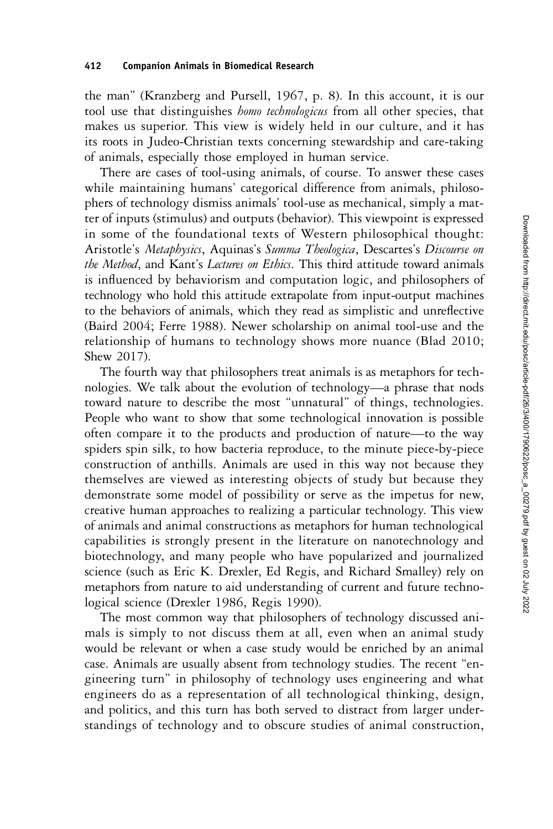the man" (Kranzberg and Pursell, 1967, p. 8). In this account, it is our tool use that distinguishes *homo technologicus* from all other species, that makes us superior. This view is widely held in our culture, and it has its roots in Judeo-Christian texts concerning stewardship and care-taking of animals, especially those employed in human service.

There are cases of tool-using animals, of course. To answer these cases while maintaining humans' categorical difference from animals, philosophers of technology dismiss animals' tool-use as mechanical, simply a matter of inputs (stimulus) and outputs (behavior). This viewpoint is expressed in some of the foundational texts of Western philosophical thought: Aristotle's Metaphysics, Aquinas's Summa Theologica, Descartes's Discourse on the Method, and Kant's Lectures on Ethics. This third attitude toward animals is influenced by behaviorism and computation logic, and philosophers of technology who hold this attitude extrapolate from input-output machines to the behaviors of animals, which they read as simplistic and unreflective (Baird 2004; Ferre 1988). Newer scholarship on animal tool-use and the relationship of humans to technology shows more nuance (Blad 2010; Shew 2017).

The fourth way that philosophers treat animals is as metaphors for technologies. We talk about the evolution of technology—a phrase that nods toward nature to describe the most "unnatural" of things, technologies. People who want to show that some technological innovation is possible often compare it to the products and production of nature—to the way spiders spin silk, to how bacteria reproduce, to the minute piece-by-piece construction of anthills. Animals are used in this way not because they themselves are viewed as interesting objects of study but because they demonstrate some model of possibility or serve as the impetus for new, creative human approaches to realizing a particular technology. This view of animals and animal constructions as metaphors for human technological capabilities is strongly present in the literature on nanotechnology and biotechnology, and many people who have popularized and journalized science (such as Eric K. Drexler, Ed Regis, and Richard Smalley) rely on metaphors from nature to aid understanding of current and future technological science (Drexler 1986, Regis 1990).

The most common way that philosophers of technology discussed animals is simply to not discuss them at all, even when an animal study would be relevant or when a case study would be enriched by an animal case. Animals are usually absent from technology studies. The recent "engineering turn" in philosophy of technology uses engineering and what engineers do as a representation of all technological thinking, design, and politics, and this turn has both served to distract from larger understandings of technology and to obscure studies of animal construction,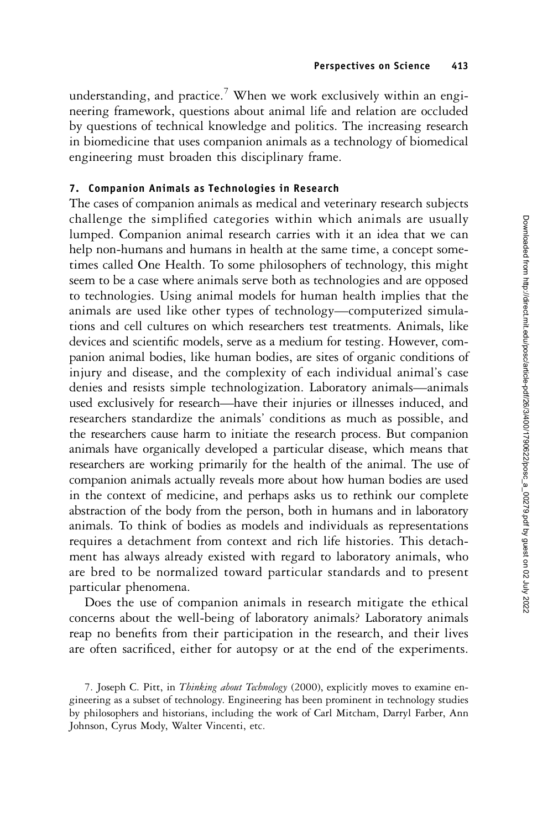understanding, and practice.<sup>7</sup> When we work exclusively within an engineering framework, questions about animal life and relation are occluded by questions of technical knowledge and politics. The increasing research in biomedicine that uses companion animals as a technology of biomedical engineering must broaden this disciplinary frame.

# 7. Companion Animals as Technologies in Research

The cases of companion animals as medical and veterinary research subjects challenge the simplified categories within which animals are usually lumped. Companion animal research carries with it an idea that we can help non-humans and humans in health at the same time, a concept sometimes called One Health. To some philosophers of technology, this might seem to be a case where animals serve both as technologies and are opposed to technologies. Using animal models for human health implies that the animals are used like other types of technology—computerized simulations and cell cultures on which researchers test treatments. Animals, like devices and scientific models, serve as a medium for testing. However, companion animal bodies, like human bodies, are sites of organic conditions of injury and disease, and the complexity of each individual animal's case denies and resists simple technologization. Laboratory animals—animals used exclusively for research—have their injuries or illnesses induced, and researchers standardize the animals' conditions as much as possible, and the researchers cause harm to initiate the research process. But companion animals have organically developed a particular disease, which means that researchers are working primarily for the health of the animal. The use of companion animals actually reveals more about how human bodies are used in the context of medicine, and perhaps asks us to rethink our complete abstraction of the body from the person, both in humans and in laboratory animals. To think of bodies as models and individuals as representations requires a detachment from context and rich life histories. This detachment has always already existed with regard to laboratory animals, who are bred to be normalized toward particular standards and to present particular phenomena.

Does the use of companion animals in research mitigate the ethical concerns about the well-being of laboratory animals? Laboratory animals reap no benefits from their participation in the research, and their lives are often sacrificed, either for autopsy or at the end of the experiments.

<sup>7.</sup> Joseph C. Pitt, in Thinking about Technology (2000), explicitly moves to examine engineering as a subset of technology. Engineering has been prominent in technology studies by philosophers and historians, including the work of Carl Mitcham, Darryl Farber, Ann Johnson, Cyrus Mody, Walter Vincenti, etc.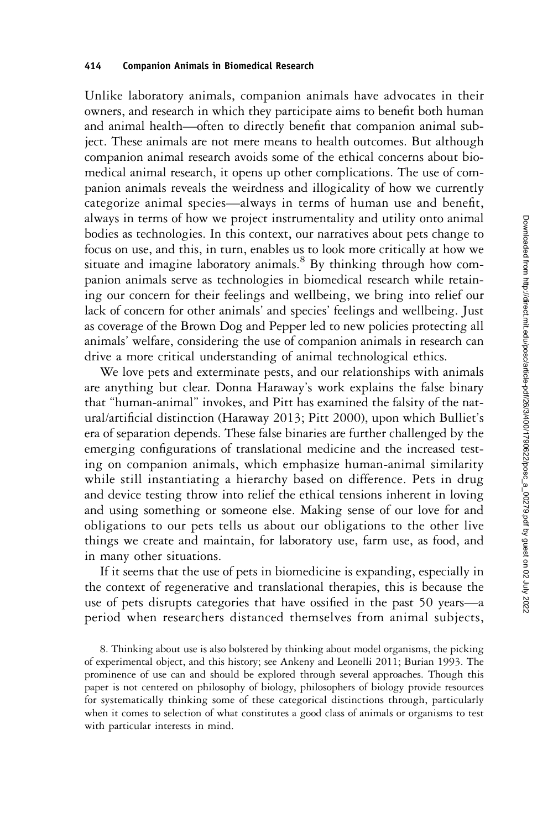Unlike laboratory animals, companion animals have advocates in their owners, and research in which they participate aims to benefit both human and animal health—often to directly benefit that companion animal subject. These animals are not mere means to health outcomes. But although companion animal research avoids some of the ethical concerns about biomedical animal research, it opens up other complications. The use of companion animals reveals the weirdness and illogicality of how we currently categorize animal species—always in terms of human use and benefit, always in terms of how we project instrumentality and utility onto animal bodies as technologies. In this context, our narratives about pets change to focus on use, and this, in turn, enables us to look more critically at how we situate and imagine laboratory animals.<sup>8</sup> By thinking through how companion animals serve as technologies in biomedical research while retaining our concern for their feelings and wellbeing, we bring into relief our lack of concern for other animals' and species' feelings and wellbeing. Just as coverage of the Brown Dog and Pepper led to new policies protecting all animals' welfare, considering the use of companion animals in research can drive a more critical understanding of animal technological ethics.

We love pets and exterminate pests, and our relationships with animals are anything but clear. Donna Haraway's work explains the false binary that "human-animal" invokes, and Pitt has examined the falsity of the natural/artificial distinction (Haraway 2013; Pitt 2000), upon which Bulliet's era of separation depends. These false binaries are further challenged by the emerging configurations of translational medicine and the increased testing on companion animals, which emphasize human-animal similarity while still instantiating a hierarchy based on difference. Pets in drug and device testing throw into relief the ethical tensions inherent in loving and using something or someone else. Making sense of our love for and obligations to our pets tells us about our obligations to the other live things we create and maintain, for laboratory use, farm use, as food, and in many other situations.

If it seems that the use of pets in biomedicine is expanding, especially in the context of regenerative and translational therapies, this is because the use of pets disrupts categories that have ossified in the past 50 years—a period when researchers distanced themselves from animal subjects,

8. Thinking about use is also bolstered by thinking about model organisms, the picking of experimental object, and this history; see Ankeny and Leonelli 2011; Burian 1993. The prominence of use can and should be explored through several approaches. Though this paper is not centered on philosophy of biology, philosophers of biology provide resources for systematically thinking some of these categorical distinctions through, particularly when it comes to selection of what constitutes a good class of animals or organisms to test with particular interests in mind.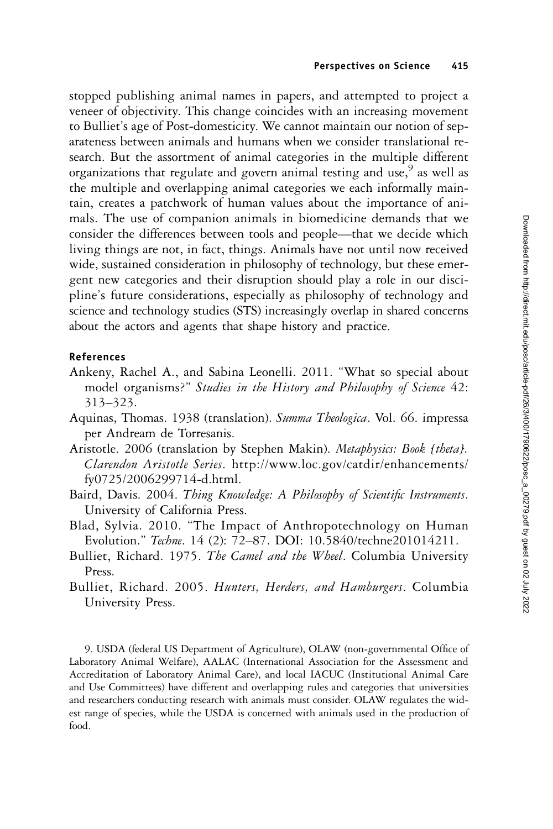stopped publishing animal names in papers, and attempted to project a veneer of objectivity. This change coincides with an increasing movement to Bulliet's age of Post-domesticity. We cannot maintain our notion of separateness between animals and humans when we consider translational research. But the assortment of animal categories in the multiple different organizations that regulate and govern animal testing and use,  $9^{\circ}$  as well as the multiple and overlapping animal categories we each informally maintain, creates a patchwork of human values about the importance of animals. The use of companion animals in biomedicine demands that we consider the differences between tools and people—that we decide which living things are not, in fact, things. Animals have not until now received wide, sustained consideration in philosophy of technology, but these emergent new categories and their disruption should play a role in our discipline's future considerations, especially as philosophy of technology and science and technology studies (STS) increasingly overlap in shared concerns about the actors and agents that shape history and practice.

## References

- Ankeny, Rachel A., and Sabina Leonelli. 2011. "What so special about model organisms?" Studies in the History and Philosophy of Science 42: 313–323.
- Aquinas, Thomas. 1938 (translation). Summa Theologica. Vol. 66. impressa per Andream de Torresanis.
- Aristotle. 2006 (translation by Stephen Makin). Metaphysics: Book [theta]. Clarendon Aristotle Series. http://www.loc.gov/catdir/enhancements/ fy0725/2006299714-d.html.
- Baird, Davis. 2004. Thing Knowledge: A Philosophy of Scientific Instruments. University of California Press.
- Blad, Sylvia. 2010. "The Impact of Anthropotechnology on Human Evolution." Techne. 14 (2): 72–87. DOI: 10.5840/techne201014211.
- Bulliet, Richard. 1975. The Camel and the Wheel. Columbia University Press.
- Bulliet, Richard. 2005. Hunters, Herders, and Hamburgers. Columbia University Press.

9. USDA (federal US Department of Agriculture), OLAW (non-governmental Office of Laboratory Animal Welfare), AALAC (International Association for the Assessment and Accreditation of Laboratory Animal Care), and local IACUC (Institutional Animal Care and Use Committees) have different and overlapping rules and categories that universities and researchers conducting research with animals must consider. OLAW regulates the widest range of species, while the USDA is concerned with animals used in the production of food.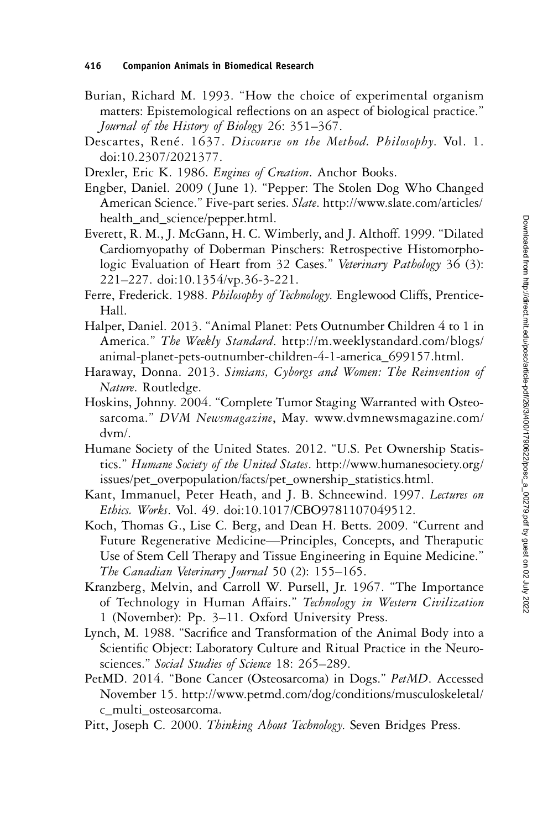- Burian, Richard M. 1993. "How the choice of experimental organism matters: Epistemological reflections on an aspect of biological practice." Journal of the History of Biology 26: 351–367.
- Descartes, René. 1637. Discourse on the Method. Philosophy. Vol. 1. doi:10.2307/2021377.
- Drexler, Eric K. 1986. Engines of Creation. Anchor Books.
- Engber, Daniel. 2009 ( June 1). "Pepper: The Stolen Dog Who Changed American Science." Five-part series. Slate. http://www.slate.com/articles/ health\_and\_science/pepper.html.
- Everett, R. M., J. McGann, H. C. Wimberly, and J. Althoff. 1999. "Dilated Cardiomyopathy of Doberman Pinschers: Retrospective Histomorphologic Evaluation of Heart from 32 Cases." Veterinary Pathology 36 (3): 221–227. doi:10.1354/vp.36-3-221.
- Ferre, Frederick. 1988. Philosophy of Technology. Englewood Cliffs, Prentice-Hall.
- Halper, Daniel. 2013. "Animal Planet: Pets Outnumber Children 4 to 1 in America." The Weekly Standard. http://m.weeklystandard.com/blogs/ animal-planet-pets-outnumber-children-4-1-america\_699157.html.
- Haraway, Donna. 2013. Simians, Cyborgs and Women: The Reinvention of Nature. Routledge.
- Hoskins, Johnny. 2004. "Complete Tumor Staging Warranted with Osteosarcoma." DVM Newsmagazine, May. www.dvmnewsmagazine.com/ dvm/.
- Humane Society of the United States. 2012. "U.S. Pet Ownership Statistics." Humane Society of the United States. http://www.humanesociety.org/ issues/pet\_overpopulation/facts/pet\_ownership\_statistics.html.
- Kant, Immanuel, Peter Heath, and J. B. Schneewind. 1997. Lectures on Ethics. Works. Vol. 49. doi:10.1017/CBO9781107049512.
- Koch, Thomas G., Lise C. Berg, and Dean H. Betts. 2009. "Current and Future Regenerative Medicine—Principles, Concepts, and Theraputic Use of Stem Cell Therapy and Tissue Engineering in Equine Medicine." The Canadian Veterinary Journal 50 (2): 155-165.
- Kranzberg, Melvin, and Carroll W. Pursell, Jr. 1967. "The Importance of Technology in Human Affairs." Technology in Western Civilization 1 (November): Pp. 3–11. Oxford University Press.
- Lynch, M. 1988. "Sacrifice and Transformation of the Animal Body into a Scientific Object: Laboratory Culture and Ritual Practice in the Neurosciences." Social Studies of Science 18: 265-289.
- PetMD. 2014. "Bone Cancer (Osteosarcoma) in Dogs." PetMD. Accessed November 15. http://www.petmd.com/dog/conditions/musculoskeletal/ c\_multi\_osteosarcoma.
- Pitt, Joseph C. 2000. Thinking About Technology. Seven Bridges Press.